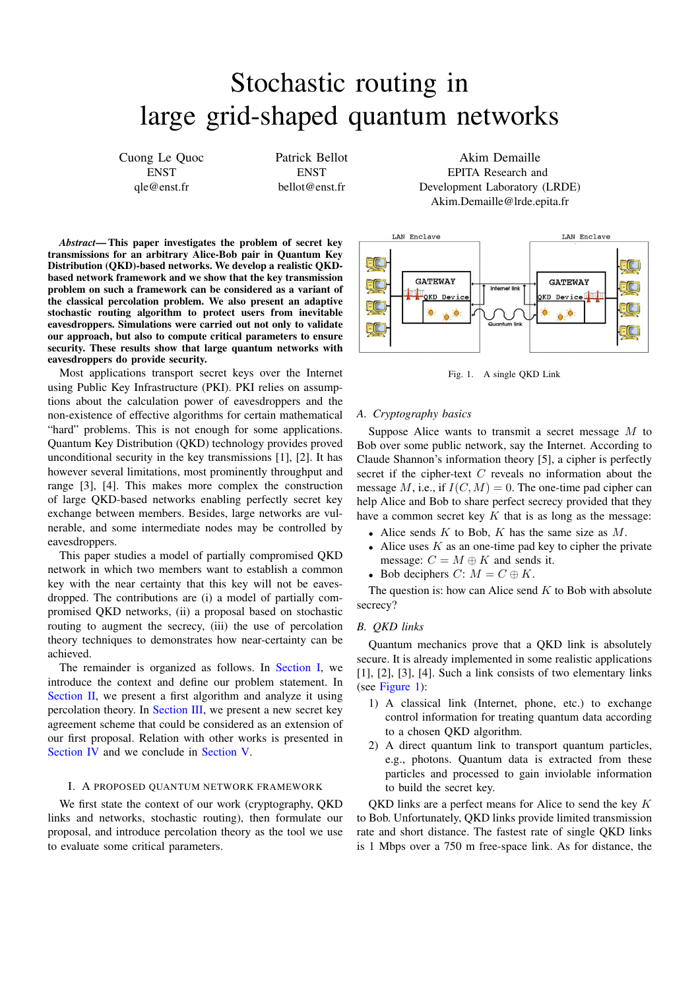# Stochastic routing in large grid-shaped quantum networks

Cuong Le Quoc **ENST** qle@enst.fr

Patrick Bellot **ENST** bellot@enst.fr

Akim Demaille EPITA Research and Development Laboratory (LRDE) Akim.Demaille@lrde.epita.fr



<span id="page-0-1"></span>Fig. 1. A single QKD Link

# *A. Cryptography basics*

Suppose Alice wants to transmit a secret message M to Bob over some public network, say the Internet. According to Claude Shannon's information theory [5], a cipher is perfectly secret if the cipher-text  $C$  reveals no information about the message M, i.e., if  $I(C, M) = 0$ . The one-time pad cipher can help Alice and Bob to share perfect secrecy provided that they have a common secret key  $K$  that is as long as the message:

- Alice sends  $K$  to Bob,  $K$  has the same size as  $M$ .
- Alice uses  $K$  as an one-time pad key to cipher the private message:  $C = M \oplus K$  and sends it.
- Bob deciphers  $C: M = C \oplus K$ .

The question is: how can Alice send  $K$  to Bob with absolute secrecy?

# *B. QKD links*

Quantum mechanics prove that a QKD link is absolutely secure. It is already implemented in some realistic applications [1], [2], [3], [4]. Such a link consists of two elementary links (see [Figure 1\)](#page-0-1):

- 1) A classical link (Internet, phone, etc.) to exchange control information for treating quantum data according to a chosen QKD algorithm.
- 2) A direct quantum link to transport quantum particles, e.g., photons. Quantum data is extracted from these particles and processed to gain inviolable information to build the secret key.

OKD links are a perfect means for Alice to send the key  $K$ to Bob. Unfortunately, QKD links provide limited transmission rate and short distance. The fastest rate of single QKD links is 1 Mbps over a 750 m free-space link. As for distance, the

*Abstract*— This paper investigates the problem of secret key transmissions for an arbitrary Alice-Bob pair in Quantum Key Distribution (QKD)-based networks. We develop a realistic QKDbased network framework and we show that the key transmission problem on such a framework can be considered as a variant of the classical percolation problem. We also present an adaptive stochastic routing algorithm to protect users from inevitable eavesdroppers. Simulations were carried out not only to validate our approach, but also to compute critical parameters to ensure security. These results show that large quantum networks with eavesdroppers do provide security.

Most applications transport secret keys over the Internet using Public Key Infrastructure (PKI). PKI relies on assumptions about the calculation power of eavesdroppers and the non-existence of effective algorithms for certain mathematical "hard" problems. This is not enough for some applications. Quantum Key Distribution (QKD) technology provides proved unconditional security in the key transmissions [1], [2]. It has however several limitations, most prominently throughput and range [3], [4]. This makes more complex the construction of large QKD-based networks enabling perfectly secret key exchange between members. Besides, large networks are vulnerable, and some intermediate nodes may be controlled by eavesdroppers.

This paper studies a model of partially compromised QKD network in which two members want to establish a common key with the near certainty that this key will not be eavesdropped. The contributions are (i) a model of partially compromised QKD networks, (ii) a proposal based on stochastic routing to augment the secrecy, (iii) the use of percolation theory techniques to demonstrates how near-certainty can be achieved.

The remainder is organized as follows. In [Section I,](#page-0-0) we introduce the context and define our problem statement. In [Section II,](#page-2-0) we present a first algorithm and analyze it using percolation theory. In [Section III,](#page-6-0) we present a new secret key agreement scheme that could be considered as an extension of our first proposal. Relation with other works is presented in [Section IV](#page-7-0) and we conclude in [Section V.](#page-8-0)

# <span id="page-0-0"></span>I. A PROPOSED QUANTUM NETWORK FRAMEWORK

We first state the context of our work (cryptography, QKD links and networks, stochastic routing), then formulate our proposal, and introduce percolation theory as the tool we use to evaluate some critical parameters.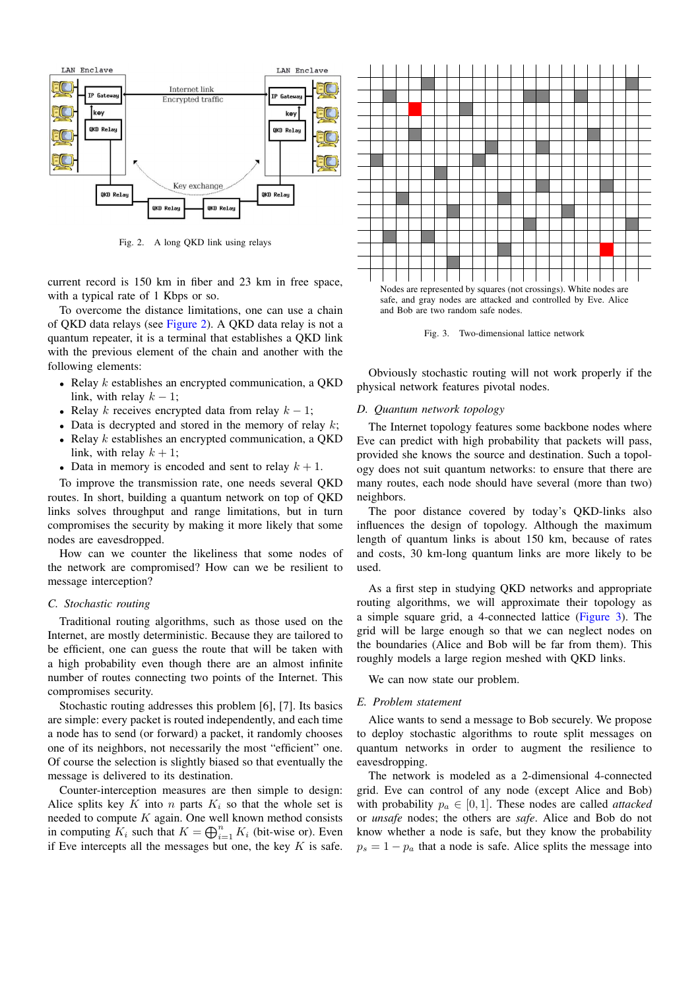

<span id="page-1-0"></span>Fig. 2. A long QKD link using relays

current record is 150 km in fiber and 23 km in free space, with a typical rate of 1 Kbps or so.

To overcome the distance limitations, one can use a chain of QKD data relays (see [Figure 2\)](#page-1-0). A QKD data relay is not a quantum repeater, it is a terminal that establishes a QKD link with the previous element of the chain and another with the following elements:

- Relay  $k$  establishes an encrypted communication, a QKD link, with relay  $k - 1$ ;
- Relay k receives encrypted data from relay  $k 1$ ;
- Data is decrypted and stored in the memory of relay  $k$ ;
- Relay  $k$  establishes an encrypted communication, a QKD link, with relay  $k + 1$ ;
- Data in memory is encoded and sent to relay  $k + 1$ .

To improve the transmission rate, one needs several QKD routes. In short, building a quantum network on top of QKD links solves throughput and range limitations, but in turn compromises the security by making it more likely that some nodes are eavesdropped.

How can we counter the likeliness that some nodes of the network are compromised? How can we be resilient to message interception?

# *C. Stochastic routing*

Traditional routing algorithms, such as those used on the Internet, are mostly deterministic. Because they are tailored to be efficient, one can guess the route that will be taken with a high probability even though there are an almost infinite number of routes connecting two points of the Internet. This compromises security.

Stochastic routing addresses this problem [6], [7]. Its basics are simple: every packet is routed independently, and each time a node has to send (or forward) a packet, it randomly chooses one of its neighbors, not necessarily the most "efficient" one. Of course the selection is slightly biased so that eventually the message is delivered to its destination.

Counter-interception measures are then simple to design: Alice splits key K into n parts  $K_i$  so that the whole set is needed to compute  $K$  again. One well known method consists in computing  $K_i$  such that  $K = \bigoplus_{i=1}^n K_i$  (bit-wise or). Even if Eve intercepts all the messages but one, the key  $K$  is safe.



<span id="page-1-1"></span>Fig. 3. Two-dimensional lattice network

Obviously stochastic routing will not work properly if the physical network features pivotal nodes.

# *D. Quantum network topology*

The Internet topology features some backbone nodes where Eve can predict with high probability that packets will pass, provided she knows the source and destination. Such a topology does not suit quantum networks: to ensure that there are many routes, each node should have several (more than two) neighbors.

The poor distance covered by today's QKD-links also influences the design of topology. Although the maximum length of quantum links is about 150 km, because of rates and costs, 30 km-long quantum links are more likely to be used.

As a first step in studying QKD networks and appropriate routing algorithms, we will approximate their topology as a simple square grid, a 4-connected lattice [\(Figure 3\)](#page-1-1). The grid will be large enough so that we can neglect nodes on the boundaries (Alice and Bob will be far from them). This roughly models a large region meshed with QKD links.

We can now state our problem.

# *E. Problem statement*

Alice wants to send a message to Bob securely. We propose to deploy stochastic algorithms to route split messages on quantum networks in order to augment the resilience to eavesdropping.

The network is modeled as a 2-dimensional 4-connected grid. Eve can control of any node (except Alice and Bob) with probability  $p_a \in [0, 1]$ . These nodes are called *attacked* or *unsafe* nodes; the others are *safe*. Alice and Bob do not know whether a node is safe, but they know the probability  $p_s = 1 - p_a$  that a node is safe. Alice splits the message into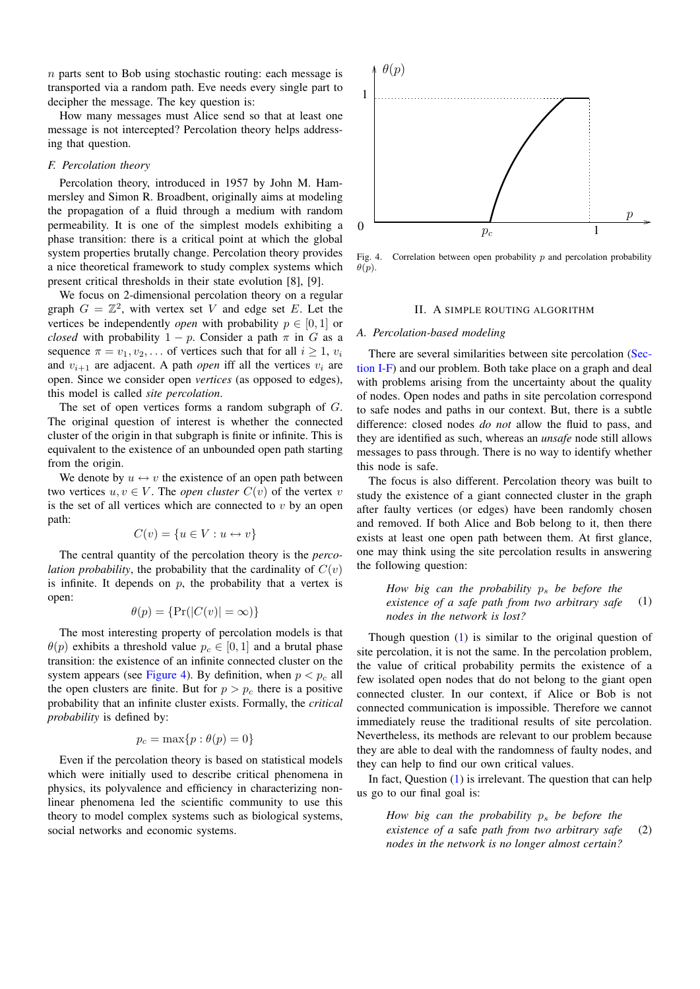$n$  parts sent to Bob using stochastic routing: each message is transported via a random path. Eve needs every single part to decipher the message. The key question is:

How many messages must Alice send so that at least one message is not intercepted? Percolation theory helps addressing that question.

# <span id="page-2-2"></span>*F. Percolation theory*

Percolation theory, introduced in 1957 by John M. Hammersley and Simon R. Broadbent, originally aims at modeling the propagation of a fluid through a medium with random permeability. It is one of the simplest models exhibiting a phase transition: there is a critical point at which the global system properties brutally change. Percolation theory provides a nice theoretical framework to study complex systems which present critical thresholds in their state evolution [8], [9].

We focus on 2-dimensional percolation theory on a regular graph  $G = \mathbb{Z}^2$ , with vertex set V and edge set E. Let the vertices be independently *open* with probability  $p \in [0, 1]$  or *closed* with probability  $1 - p$ . Consider a path  $\pi$  in G as a sequence  $\pi = v_1, v_2, \dots$  of vertices such that for all  $i \geq 1$ ,  $v_i$ and  $v_{i+1}$  are adjacent. A path *open* iff all the vertices  $v_i$  are open. Since we consider open *vertices* (as opposed to edges), this model is called *site percolation*.

The set of open vertices forms a random subgraph of G. The original question of interest is whether the connected cluster of the origin in that subgraph is finite or infinite. This is equivalent to the existence of an unbounded open path starting from the origin.

We denote by  $u \leftrightarrow v$  the existence of an open path between two vertices  $u, v \in V$ . The *open cluster*  $C(v)$  of the vertex v is the set of all vertices which are connected to  $v$  by an open path:

$$
C(v) = \{u \in V : u \leftrightarrow v\}
$$

The central quantity of the percolation theory is the *percolation probability*, the probability that the cardinality of  $C(v)$ is infinite. It depends on  $p$ , the probability that a vertex is open:

$$
\theta(p) = \{ \Pr(|C(v)| = \infty) \}
$$

The most interesting property of percolation models is that  $\theta(p)$  exhibits a threshold value  $p_c \in [0, 1]$  and a brutal phase transition: the existence of an infinite connected cluster on the system appears (see [Figure 4\)](#page-2-1). By definition, when  $p < p_c$  all the open clusters are finite. But for  $p > p_c$  there is a positive probability that an infinite cluster exists. Formally, the *critical probability* is defined by:

$$
p_c = \max\{p : \theta(p) = 0\}
$$

Even if the percolation theory is based on statistical models which were initially used to describe critical phenomena in physics, its polyvalence and efficiency in characterizing nonlinear phenomena led the scientific community to use this theory to model complex systems such as biological systems, social networks and economic systems.



<span id="page-2-1"></span>Fig. 4. Correlation between open probability  $p$  and percolation probability  $\theta(p)$ .

#### II. A SIMPLE ROUTING ALGORITHM

### <span id="page-2-5"></span><span id="page-2-0"></span>*A. Percolation-based modeling*

There are several similarities between site percolation [\(Sec](#page-2-2)[tion I-F\)](#page-2-2) and our problem. Both take place on a graph and deal with problems arising from the uncertainty about the quality of nodes. Open nodes and paths in site percolation correspond to safe nodes and paths in our context. But, there is a subtle difference: closed nodes *do not* allow the fluid to pass, and they are identified as such, whereas an *unsafe* node still allows messages to pass through. There is no way to identify whether this node is safe.

The focus is also different. Percolation theory was built to study the existence of a giant connected cluster in the graph after faulty vertices (or edges) have been randomly chosen and removed. If both Alice and Bob belong to it, then there exists at least one open path between them. At first glance, one may think using the site percolation results in answering the following question:

<span id="page-2-3"></span>*How big can the probability* p<sup>s</sup> *be before the existence of a safe path from two arbitrary safe nodes in the network is lost?* (1)

Though question [\(1\)](#page-2-3) is similar to the original question of site percolation, it is not the same. In the percolation problem, the value of critical probability permits the existence of a few isolated open nodes that do not belong to the giant open connected cluster. In our context, if Alice or Bob is not connected communication is impossible. Therefore we cannot immediately reuse the traditional results of site percolation. Nevertheless, its methods are relevant to our problem because they are able to deal with the randomness of faulty nodes, and they can help to find our own critical values.

In fact, Question [\(1\)](#page-2-3) is irrelevant. The question that can help us go to our final goal is:

<span id="page-2-4"></span>*How big can the probability*  $p_s$  *be before the existence of a* safe *path from two arbitrary safe nodes in the network is no longer almost certain?* (2)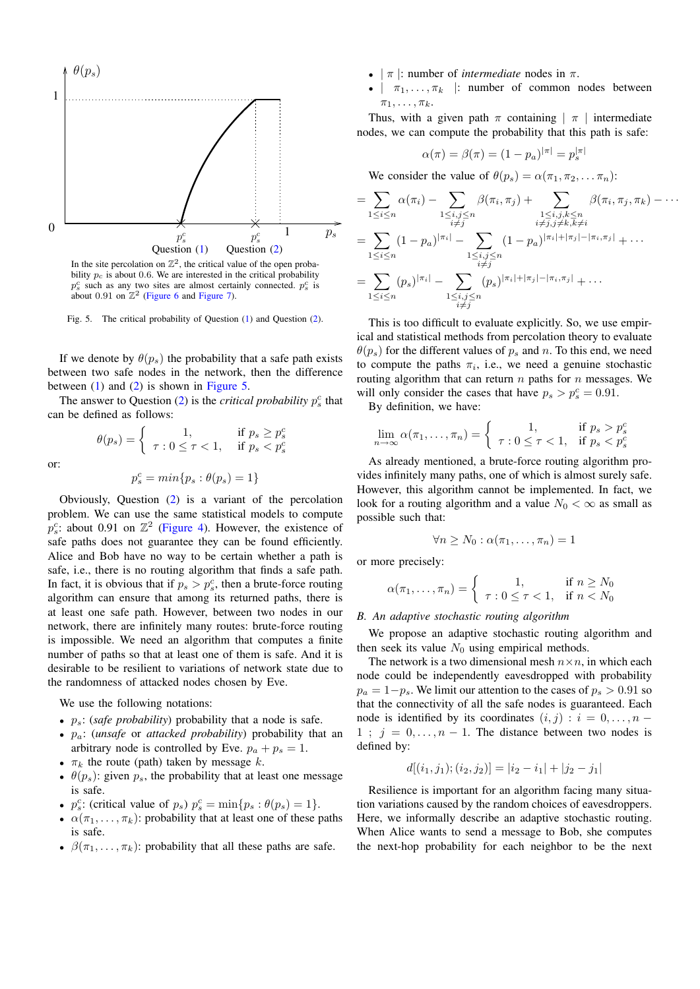

In the site percolation on  $\mathbb{Z}^2$ , the critical value of the open probability  $p_c$  is about 0.6. We are interested in the critical probability  $p_s^c$  such as any two sites are almost certainly connected.  $p_s^c$  is about 0.91 on  $\mathbb{Z}^2$  [\(Figure 6](#page-4-0) and [Figure 7\)](#page-5-0).

<span id="page-3-0"></span>

If we denote by  $\theta(p_s)$  the probability that a safe path exists between two safe nodes in the network, then the difference between  $(1)$  and  $(2)$  is shown in [Figure 5.](#page-3-0)

The answer to Question  $(2)$  is the *critical probability*  $p_s^c$  that can be defined as follows:

or:

$$
p_s^c = min\{p_s : \theta(p_s) = 1\}
$$

 $\theta(p_s) = \begin{cases} 1, & \text{if } p_s \geq p_s^c \ \tau : 0 \leq \tau < 1, & \text{if } p_s < p_s^c \end{cases}$ 

Obviously, Question [\(2\)](#page-2-4) is a variant of the percolation problem. We can use the same statistical models to compute  $p_s^c$ : about 0.91 on  $\mathbb{Z}^2$  [\(Figure 4\)](#page-2-1). However, the existence of safe paths does not guarantee they can be found efficiently. Alice and Bob have no way to be certain whether a path is safe, i.e., there is no routing algorithm that finds a safe path. In fact, it is obvious that if  $p_s > p_s^c$ , then a brute-force routing algorithm can ensure that among its returned paths, there is at least one safe path. However, between two nodes in our network, there are infinitely many routes: brute-force routing is impossible. We need an algorithm that computes a finite number of paths so that at least one of them is safe. And it is desirable to be resilient to variations of network state due to the randomness of attacked nodes chosen by Eve.

We use the following notations:

- $p_s$ : (*safe probability*) probability that a node is safe.
- pa: (*unsafe* or *attacked probability*) probability that an arbitrary node is controlled by Eve.  $p_a + p_s = 1$ .
- $\pi_k$  the route (path) taken by message k.
- $\theta(p_s)$ : given  $p_s$ , the probability that at least one message is safe.
- $p_s^c$ : (critical value of  $p_s$ )  $p_s^c = \min\{p_s : \theta(p_s) = 1\}.$
- $\alpha(\pi_1, \ldots, \pi_k)$ : probability that at least one of these paths is safe.
- $\beta(\pi_1, \ldots, \pi_k)$ : probability that all these paths are safe.
- $|\pi|$ : number of *intermediate* nodes in  $\pi$ .
- $|\pi_1,\ldots,\pi_k|$ : number of common nodes between  $\pi_1, \ldots, \pi_k$ .

Thus, with a given path  $\pi$  containing  $|\pi|$  intermediate nodes, we can compute the probability that this path is safe:

$$
\alpha(\pi) = \beta(\pi) = (1 - p_a)^{|\pi|} = p_s^{|\pi|}
$$

We consider the value of  $\theta(p_s) = \alpha(\pi_1, \pi_2, \dots, \pi_n)$ :

$$
= \sum_{1 \leq i \leq n} \alpha(\pi_i) - \sum_{\substack{1 \leq i, j \leq n \\ i \neq j}} \beta(\pi_i, \pi_j) + \sum_{\substack{1 \leq i, j, k \leq n \\ i \neq j, j \neq k, k \neq i}} \beta(\pi_i, \pi_j, \pi_k) - \cdots
$$
  
\n
$$
= \sum_{1 \leq i \leq n} (1 - p_a)^{|\pi_i|} - \sum_{\substack{1 \leq i, j \leq n \\ i \neq j}} (1 - p_a)^{|\pi_i| + |\pi_j| - |\pi_i, \pi_j|} + \cdots
$$
  
\n
$$
= \sum_{1 \leq i \leq n} (p_s)^{|\pi_i|} - \sum_{\substack{1 \leq i, j \leq n \\ i \neq j}} (p_s)^{|\pi_i| + |\pi_j| - |\pi_i, \pi_j|} + \cdots
$$

This is too difficult to evaluate explicitly. So, we use empirical and statistical methods from percolation theory to evaluate  $\theta(p_s)$  for the different values of  $p_s$  and n. To this end, we need to compute the paths  $\pi_i$ , i.e., we need a genuine stochastic routing algorithm that can return  $n$  paths for  $n$  messages. We will only consider the cases that have  $p_s > p_s^c = 0.91$ .

By definition, we have:

$$
\lim_{n \to \infty} \alpha(\pi_1, \dots, \pi_n) = \begin{cases} 1, & \text{if } p_s > p_s^c \\ \tau : 0 \le \tau < 1, & \text{if } p_s < p_s^c \end{cases}
$$

As already mentioned, a brute-force routing algorithm provides infinitely many paths, one of which is almost surely safe. However, this algorithm cannot be implemented. In fact, we look for a routing algorithm and a value  $N_0 < \infty$  as small as possible such that:

$$
\forall n \geq N_0 : \alpha(\pi_1, \ldots, \pi_n) = 1
$$

or more precisely:

$$
\alpha(\pi_1,\ldots,\pi_n) = \begin{cases} 1, & \text{if } n \ge N_0 \\ \tau: 0 \le \tau < 1, \quad \text{if } n < N_0 \end{cases}
$$

#### *B. An adaptive stochastic routing algorithm*

We propose an adaptive stochastic routing algorithm and then seek its value  $N_0$  using empirical methods.

The network is a two dimensional mesh  $n \times n$ , in which each node could be independently eavesdropped with probability  $p_a = 1-p_s$ . We limit our attention to the cases of  $p_s > 0.91$  so that the connectivity of all the safe nodes is guaranteed. Each node is identified by its coordinates  $(i, j) : i = 0, \ldots, n - 1$ 1 ;  $j = 0, \ldots, n - 1$ . The distance between two nodes is defined by:

$$
d[(i_1, j_1); (i_2, j_2)] = |i_2 - i_1| + |j_2 - j_1|
$$

Resilience is important for an algorithm facing many situation variations caused by the random choices of eavesdroppers. Here, we informally describe an adaptive stochastic routing. When Alice wants to send a message to Bob, she computes the next-hop probability for each neighbor to be the next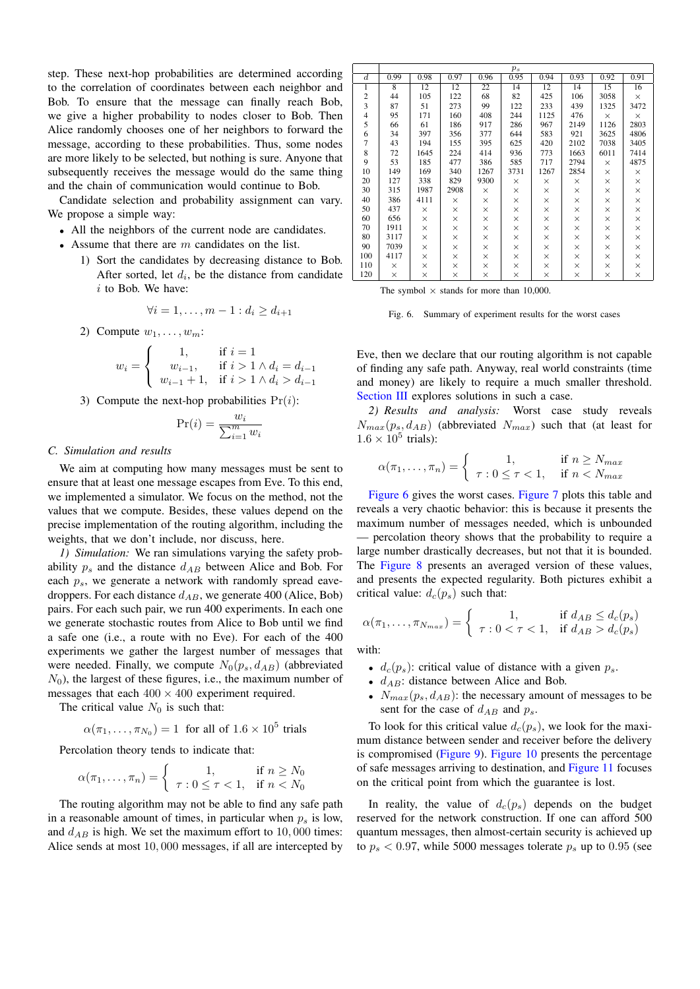step. These next-hop probabilities are determined according to the correlation of coordinates between each neighbor and Bob. To ensure that the message can finally reach Bob, we give a higher probability to nodes closer to Bob. Then Alice randomly chooses one of her neighbors to forward the message, according to these probabilities. Thus, some nodes are more likely to be selected, but nothing is sure. Anyone that subsequently receives the message would do the same thing and the chain of communication would continue to Bob.

Candidate selection and probability assignment can vary. We propose a simple way:

- All the neighbors of the current node are candidates.
- Assume that there are  $m$  candidates on the list.
	- 1) Sort the candidates by decreasing distance to Bob. After sorted, let  $d_i$ , be the distance from candidate i to Bob. We have:

$$
\forall i = 1, \dots, m-1 : d_i \ge d_{i+1}
$$

2) Compute  $w_1, \ldots, w_m$ :

$$
w_i = \begin{cases} 1, & \text{if } i = 1 \\ w_{i-1}, & \text{if } i > 1 \land d_i = d_{i-1} \\ w_{i-1} + 1, & \text{if } i > 1 \land d_i > d_{i-1} \end{cases}
$$

3) Compute the next-hop probabilities  $Pr(i)$ :

$$
\Pr(i) = \frac{w_i}{\sum_{i=1}^m w_i}
$$

#### *C. Simulation and results*

We aim at computing how many messages must be sent to ensure that at least one message escapes from Eve. To this end, we implemented a simulator. We focus on the method, not the values that we compute. Besides, these values depend on the precise implementation of the routing algorithm, including the weights, that we don't include, nor discuss, here.

*1) Simulation:* We ran simulations varying the safety probability  $p_s$  and the distance  $d_{AB}$  between Alice and Bob. For each  $p_s$ , we generate a network with randomly spread eavedroppers. For each distance  $d_{AB}$ , we generate 400 (Alice, Bob) pairs. For each such pair, we run 400 experiments. In each one we generate stochastic routes from Alice to Bob until we find a safe one (i.e., a route with no Eve). For each of the 400 experiments we gather the largest number of messages that were needed. Finally, we compute  $N_0(p_s, d_{AB})$  (abbreviated  $N_0$ ), the largest of these figures, i.e., the maximum number of messages that each  $400 \times 400$  experiment required.

The critical value  $N_0$  is such that:

$$
\alpha(\pi_1, \dots, \pi_{N_0}) = 1
$$
 for all of  $1.6 \times 10^5$  trials

Percolation theory tends to indicate that:

$$
\alpha(\pi_1, \dots, \pi_n) = \begin{cases} 1, & \text{if } n \ge N_0 \\ \tau : 0 \le \tau < 1, \quad \text{if } n < N_0 \end{cases}
$$

The routing algorithm may not be able to find any safe path in a reasonable amount of times, in particular when  $p_s$  is low, and  $d_{AB}$  is high. We set the maximum effort to 10,000 times: Alice sends at most 10, 000 messages, if all are intercepted by

|                         | $p_s$    |          |          |          |          |          |          |          |          |  |  |
|-------------------------|----------|----------|----------|----------|----------|----------|----------|----------|----------|--|--|
| $\overline{d}$          | 0.99     | 0.98     | 0.97     | 0.96     | 0.95     | 0.94     | 0.93     | 0.92     | 0.91     |  |  |
| 1                       | 8        | 12       | 12       | 22       | 14       | 12       | 14       | 15       | 16       |  |  |
| $\overline{c}$          | 44       | 105      | 122      | 68       | 82       | 425      | 106      | 3058     | $\times$ |  |  |
| $\overline{\mathbf{3}}$ | 87       | 51       | 273      | 99       | 122      | 233      | 439      | 1325     | 3472     |  |  |
| $\overline{4}$          | 95       | 171      | 160      | 408      | 244      | 1125     | 476      | $\times$ | X        |  |  |
| 5                       | 66       | 61       | 186      | 917      | 286      | 967      | 2149     | 1126     | 2803     |  |  |
| 6                       | 34       | 397      | 356      | 377      | 644      | 583      | 921      | 3625     | 4806     |  |  |
| $\overline{7}$          | 43       | 194      | 155      | 395      | 625      | 420      | 2102     | 7038     | 3405     |  |  |
| 8                       | 72       | 1645     | 224      | 414      | 936      | 773      | 1663     | 6011     | 7414     |  |  |
| 9                       | 53       | 185      | 477      | 386      | 585      | 717      | 2794     | $\times$ | 4875     |  |  |
| 10                      | 149      | 169      | 340      | 1267     | 3731     | 1267     | 2854     | $\times$ | X        |  |  |
| 20                      | 127      | 338      | 829      | 9300     | $\times$ | $\times$ | ×        | $\times$ | $\times$ |  |  |
| 30                      | 315      | 1987     | 2908     | X        | $\times$ | $\times$ | ×        | $\times$ | $\times$ |  |  |
| 40                      | 386      | 4111     | $\times$ | ×        | $\times$ | $\times$ | $\times$ | $\times$ | $\times$ |  |  |
| 50                      | 437      | $\times$ | $\times$ | $\times$ | ×        | ×        | ×        | X        | $\times$ |  |  |
| 60                      | 656      | $\times$ | $\times$ | $\times$ | ×        | ×        | ×        | $\times$ | $\times$ |  |  |
| 70                      | 1911     | $\times$ | $\times$ | $\times$ | $\times$ | ×        | ×        | $\times$ | $\times$ |  |  |
| 80                      | 3117     | $\times$ | $\times$ | $\times$ | ×        | ×        | ×        | $\times$ | $\times$ |  |  |
| 90                      | 7039     | $\times$ | $\times$ | $\times$ | $\times$ | ×        | ×        | $\times$ | $\times$ |  |  |
| 100                     | 4117     | $\times$ | $\times$ | $\times$ | ×        | ×        | ×        | X        | $\times$ |  |  |
| 110                     | $\times$ | $\times$ | $\times$ | $\times$ | $\times$ | ×        | ×        | $\times$ | $\times$ |  |  |
| 120                     | $\times$ | $\times$ | $\times$ | $\times$ | $\times$ | ×        | $\times$ | $\times$ | $\times$ |  |  |

The symbol  $\times$  stands for more than 10,000.

<span id="page-4-0"></span>Fig. 6. Summary of experiment results for the worst cases

Eve, then we declare that our routing algorithm is not capable of finding any safe path. Anyway, real world constraints (time and money) are likely to require a much smaller threshold. [Section III](#page-6-0) explores solutions in such a case.

*2) Results and analysis:* Worst case study reveals  $N_{max}(p_s, d_{AB})$  (abbreviated  $N_{max}$ ) such that (at least for  $1.6 \times 10^5$  trials):

$$
\alpha(\pi_1, \dots, \pi_n) = \begin{cases} 1, & \text{if } n \ge N_{\text{max}} \\ \tau : 0 \le \tau < 1, \quad \text{if } n < N_{\text{max}} \end{cases}
$$

[Figure 6](#page-4-0) gives the worst cases. [Figure 7](#page-5-0) plots this table and reveals a very chaotic behavior: this is because it presents the maximum number of messages needed, which is unbounded — percolation theory shows that the probability to require a large number drastically decreases, but not that it is bounded. The [Figure 8](#page-5-1) presents an averaged version of these values, and presents the expected regularity. Both pictures exhibit a critical value:  $d_c(p_s)$  such that:

$$
\alpha(\pi_1, \dots, \pi_{N_{max}}) = \begin{cases} 1, & \text{if } d_{AB} \le d_c(p_s) \\ \tau : 0 < \tau < 1, \quad \text{if } d_{AB} > d_c(p_s) \end{cases}
$$

with:

- $d_c(p_s)$ : critical value of distance with a given  $p_s$ .
- $d_{AB}$ : distance between Alice and Bob.
- $N_{max}(p_s, d_{AB})$ : the necessary amount of messages to be sent for the case of  $d_{AB}$  and  $p_s$ .

To look for this critical value  $d_c(p_s)$ , we look for the maximum distance between sender and receiver before the delivery is compromised [\(Figure 9\)](#page-5-2). [Figure 10](#page-5-3) presents the percentage of safe messages arriving to destination, and [Figure 11](#page-5-4) focuses on the critical point from which the guarantee is lost.

In reality, the value of  $d_c(p_s)$  depends on the budget reserved for the network construction. If one can afford 500 quantum messages, then almost-certain security is achieved up to  $p_s < 0.97$ , while 5000 messages tolerate  $p_s$  up to 0.95 (see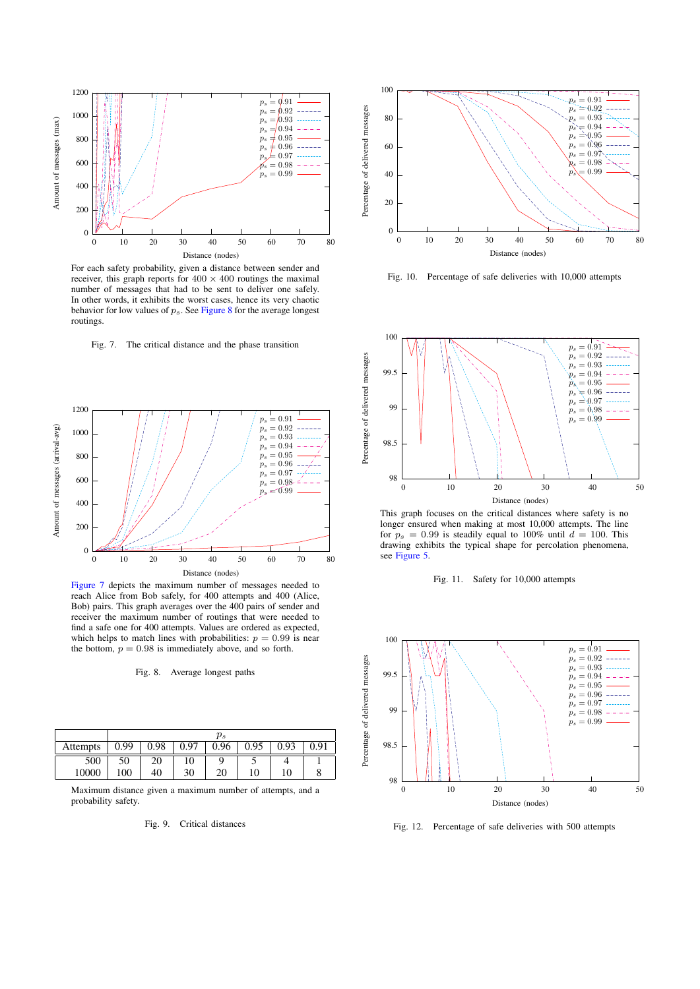

For each safety probability, given a distance between sender and receiver, this graph reports for  $400 \times 400$  routings the maximal number of messages that had to be sent to deliver one safely. In other words, it exhibits the worst cases, hence its very chaotic behavior for low values of  $p_s$ . See [Figure 8](#page-5-1) for the average longest routings.

<span id="page-5-0"></span>



[Figure 7](#page-5-0) depicts the maximum number of messages needed to reach Alice from Bob safely, for 400 attempts and 400 (Alice, Bob) pairs. This graph averages over the 400 pairs of sender and receiver the maximum number of routings that were needed to find a safe one for 400 attempts. Values are ordered as expected, which helps to match lines with probabilities:  $p = 0.99$  is near the bottom,  $p = 0.98$  is immediately above, and so forth.

#### <span id="page-5-1"></span>Fig. 8. Average longest paths

|          | $p_s$ |      |      |      |      |      |      |  |  |  |  |
|----------|-------|------|------|------|------|------|------|--|--|--|--|
| Attempts | 0.99  | 0.98 | 0.97 | 0.96 | 0.95 | 0.93 | በ 01 |  |  |  |  |
| 500      | 50    | 20   | 10   |      |      |      |      |  |  |  |  |
| 10000    | 100   | 40   | 30   | 20   | 10   | 10   | O    |  |  |  |  |

Maximum distance given a maximum number of attempts, and a probability safety.

#### <span id="page-5-2"></span>Fig. 9. Critical distances



<span id="page-5-3"></span>Fig. 10. Percentage of safe deliveries with 10,000 attempts



This graph focuses on the critical distances where safety is no longer ensured when making at most 10,000 attempts. The line for  $p_s = 0.99$  is steadily equal to 100% until  $d = 100$ . This drawing exhibits the typical shape for percolation phenomena, see [Figure 5.](#page-3-0)

<span id="page-5-4"></span>



Fig. 12. Percentage of safe deliveries with 500 attempts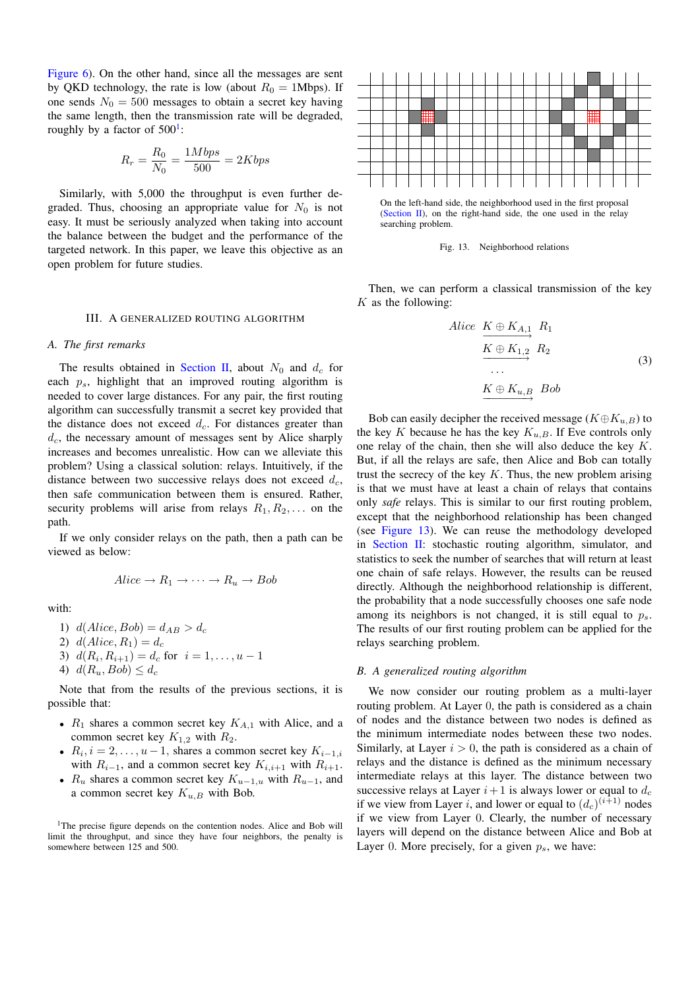[Figure 6\)](#page-4-0). On the other hand, since all the messages are sent by QKD technology, the rate is low (about  $R_0 = 1$ Mbps). If one sends  $N_0 = 500$  messages to obtain a secret key having the same length, then the transmission rate will be degraded, roughly by a factor of  $500^1$  $500^1$ :

$$
R_r = \frac{R_0}{N_0} = \frac{1Mbps}{500} = 2Kbps
$$

Similarly, with 5,000 the throughput is even further degraded. Thus, choosing an appropriate value for  $N_0$  is not easy. It must be seriously analyzed when taking into account the balance between the budget and the performance of the targeted network. In this paper, we leave this objective as an open problem for future studies.

### III. A GENERALIZED ROUTING ALGORITHM

# <span id="page-6-0"></span>*A. The first remarks*

The results obtained in [Section II,](#page-2-0) about  $N_0$  and  $d_c$  for each  $p_s$ , highlight that an improved routing algorithm is needed to cover large distances. For any pair, the first routing algorithm can successfully transmit a secret key provided that the distance does not exceed  $d_c$ . For distances greater than  $d_c$ , the necessary amount of messages sent by Alice sharply increases and becomes unrealistic. How can we alleviate this problem? Using a classical solution: relays. Intuitively, if the distance between two successive relays does not exceed  $d_c$ , then safe communication between them is ensured. Rather, security problems will arise from relays  $R_1, R_2, \ldots$  on the path.

If we only consider relays on the path, then a path can be viewed as below:

$$
Alice \to R_1 \to \cdots \to R_u \to Bob
$$

with:

1)  $d(Alice, Bob) = d_{AB} > d_c$ 2)  $d(Alice, R_1) = d_c$ 3)  $d(R_i, R_{i+1}) = d_c$  for  $i = 1, ..., u - 1$ 4)  $d(R_u, Bob) \leq d_c$ 

Note that from the results of the previous sections, it is possible that:

- $R_1$  shares a common secret key  $K_{A,1}$  with Alice, and a common secret key  $K_{1,2}$  with  $R_2$ .
- $R_i$ ,  $i = 2, \ldots, u 1$ , shares a common secret key  $K_{i-1,i}$ with  $R_{i-1}$ , and a common secret key  $K_{i,i+1}$  with  $R_{i+1}$ .
- $R_u$  shares a common secret key  $K_{u-1,u}$  with  $R_{u-1}$ , and a common secret key  $K_{u,B}$  with Bob.

<span id="page-6-1"></span><sup>1</sup>The precise figure depends on the contention nodes. Alice and Bob will limit the throughput, and since they have four neighbors, the penalty is somewhere between 125 and 500.



On the left-hand side, the neighborhood used in the first proposal [\(Section II\)](#page-2-0), on the right-hand side, the one used in the relay searching problem.

<span id="page-6-2"></span>

Then, we can perform a classical transmission of the key  $K$  as the following:

$$
Alice \nK \oplus K_{A,1} \nR_1\n\hline\nK \oplus K_{1,2} \nR_2\n\ldots\n\hline\nK \oplus K_{u,B} \nBob
$$
\n(3)

<span id="page-6-3"></span>Bob can easily decipher the received message ( $K \oplus K_{u,B}$ ) to the key K because he has the key  $K_{u,B}$ . If Eve controls only one relay of the chain, then she will also deduce the key K. But, if all the relays are safe, then Alice and Bob can totally trust the secrecy of the key  $K$ . Thus, the new problem arising is that we must have at least a chain of relays that contains only *safe* relays. This is similar to our first routing problem, except that the neighborhood relationship has been changed (see [Figure 13\)](#page-6-2). We can reuse the methodology developed in [Section II:](#page-2-0) stochastic routing algorithm, simulator, and statistics to seek the number of searches that will return at least one chain of safe relays. However, the results can be reused directly. Although the neighborhood relationship is different, the probability that a node successfully chooses one safe node among its neighbors is not changed, it is still equal to  $p_s$ . The results of our first routing problem can be applied for the relays searching problem.

#### *B. A generalized routing algorithm*

We now consider our routing problem as a multi-layer routing problem. At Layer 0, the path is considered as a chain of nodes and the distance between two nodes is defined as the minimum intermediate nodes between these two nodes. Similarly, at Layer  $i > 0$ , the path is considered as a chain of relays and the distance is defined as the minimum necessary intermediate relays at this layer. The distance between two successive relays at Layer  $i+1$  is always lower or equal to  $d_c$ if we view from Layer *i*, and lower or equal to  $(d_c)^{(i+1)}$  nodes if we view from Layer 0. Clearly, the number of necessary layers will depend on the distance between Alice and Bob at Layer 0. More precisely, for a given  $p_s$ , we have: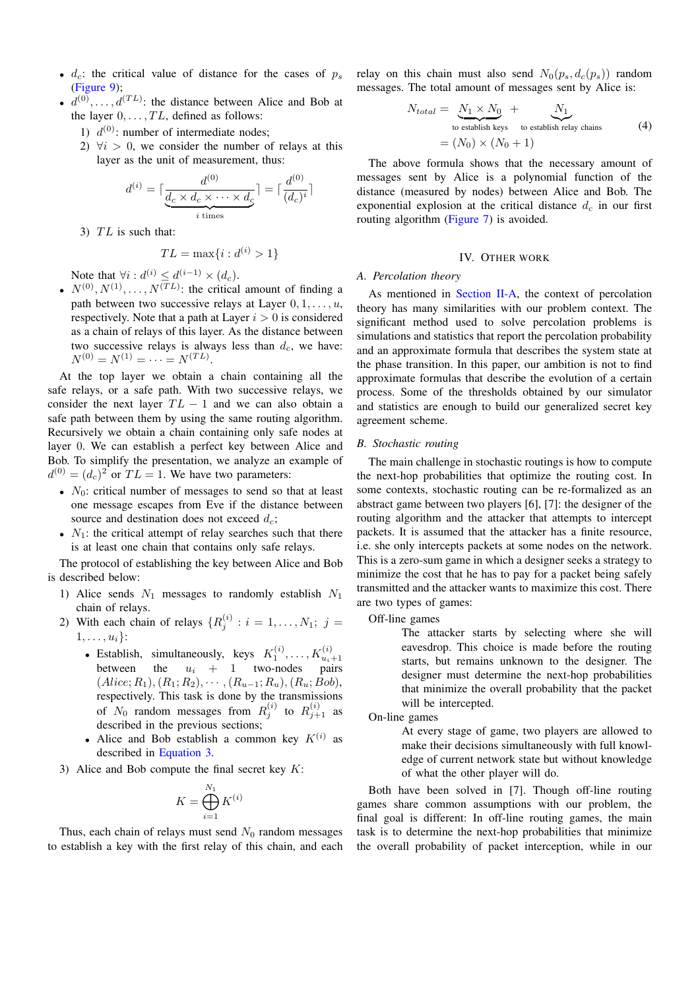- $d_c$ : the critical value of distance for the cases of  $p_s$ [\(Figure 9\)](#page-5-2);
- $d^{(0)}, \ldots, d^{(TL)}$ : the distance between Alice and Bob at the layer  $0, \ldots, TL$ , defined as follows:
	- 1)  $d^{(0)}$ : number of intermediate nodes;
	- 2)  $\forall i > 0$ , we consider the number of relays at this layer as the unit of measurement, thus:

$$
d^{(i)} = \lceil \frac{d^{(0)}}{\underbrace{d_c \times d_c \times \cdots \times d_c}_{i \text{ times}}}\rceil = \lceil \frac{d^{(0)}}{(d_c)^i} \rceil
$$

3)  $TL$  is such that:

$$
TL = \max\{i : d^{(i)} > 1\}
$$

Note that  $\forall i: d^{(i)} \leq d^{(i-1)} \times (d_c)$ .

•  $N^{(0)}, N^{(1)}, \ldots, N^{(TL)}$ : the critical amount of finding a path between two successive relays at Layer  $0, 1, \ldots, u$ , respectively. Note that a path at Layer  $i > 0$  is considered as a chain of relays of this layer. As the distance between two successive relays is always less than  $d_c$ , we have:  $N^{(0)} = N^{(1)} = \cdots = N^{(TL)}.$ 

At the top layer we obtain a chain containing all the safe relays, or a safe path. With two successive relays, we consider the next layer  $TL - 1$  and we can also obtain a safe path between them by using the same routing algorithm. Recursively we obtain a chain containing only safe nodes at layer 0. We can establish a perfect key between Alice and Bob. To simplify the presentation, we analyze an example of  $d^{(0)} = (d_c)^2$  or  $TL = 1$ . We have two parameters:

- $N_0$ : critical number of messages to send so that at least one message escapes from Eve if the distance between source and destination does not exceed  $d_c$ ;
- $N_1$ : the critical attempt of relay searches such that there is at least one chain that contains only safe relays.

The protocol of establishing the key between Alice and Bob is described below:

- 1) Alice sends  $N_1$  messages to randomly establish  $N_1$ chain of relays.
- 2) With each chain of relays  $\{R_j^{(i)}: i = 1, \ldots, N_1; j = 1\}$  $1, \ldots, u_i$ :
	- Establish, simultaneously, keys  $K_1^{(i)}, \ldots, K_{u_i+1}^{(i)}$  between the  $u_i + 1$  two-nodes pairs  $(Alice; R_1), (R_1; R_2), \cdots, (R_{u-1}; R_u), (R_u; Bob),$ respectively. This task is done by the transmissions of  $N_0$  random messages from  $R_j^{(i)}$  to  $R_{j+1}^{(i)}$  as described in the previous sections;
	- Alice and Bob establish a common key  $K^{(i)}$  as described in [Equation 3.](#page-6-3)
- 3) Alice and Bob compute the final secret key  $K$ :

$$
K = \bigoplus_{i=1}^{N_1} K^{(i)}
$$

Thus, each chain of relays must send  $N_0$  random messages to establish a key with the first relay of this chain, and each

relay on this chain must also send  $N_0(p_s, d_c(p_s))$  random messages. The total amount of messages sent by Alice is:

$$
N_{total} = \underbrace{N_1 \times N_0}_{\text{to establish keys}} + \underbrace{N_1}_{\text{to establish relay chains}} \tag{4}
$$

$$
= (N_0) \times (N_0 + 1)
$$

The above formula shows that the necessary amount of messages sent by Alice is a polynomial function of the distance (measured by nodes) between Alice and Bob. The exponential explosion at the critical distance  $d_c$  in our first routing algorithm [\(Figure 7\)](#page-5-0) is avoided.

# IV. OTHER WORK

# <span id="page-7-0"></span>*A. Percolation theory*

As mentioned in [Section II-A,](#page-2-5) the context of percolation theory has many similarities with our problem context. The significant method used to solve percolation problems is simulations and statistics that report the percolation probability and an approximate formula that describes the system state at the phase transition. In this paper, our ambition is not to find approximate formulas that describe the evolution of a certain process. Some of the thresholds obtained by our simulator and statistics are enough to build our generalized secret key agreement scheme.

#### *B. Stochastic routing*

The main challenge in stochastic routings is how to compute the next-hop probabilities that optimize the routing cost. In some contexts, stochastic routing can be re-formalized as an abstract game between two players [6], [7]: the designer of the routing algorithm and the attacker that attempts to intercept packets. It is assumed that the attacker has a finite resource, i.e. she only intercepts packets at some nodes on the network. This is a zero-sum game in which a designer seeks a strategy to minimize the cost that he has to pay for a packet being safely transmitted and the attacker wants to maximize this cost. There are two types of games:

Off-line games

The attacker starts by selecting where she will eavesdrop. This choice is made before the routing starts, but remains unknown to the designer. The designer must determine the next-hop probabilities that minimize the overall probability that the packet will be intercepted.

#### On-line games

At every stage of game, two players are allowed to make their decisions simultaneously with full knowledge of current network state but without knowledge of what the other player will do.

Both have been solved in [7]. Though off-line routing games share common assumptions with our problem, the final goal is different: In off-line routing games, the main task is to determine the next-hop probabilities that minimize the overall probability of packet interception, while in our